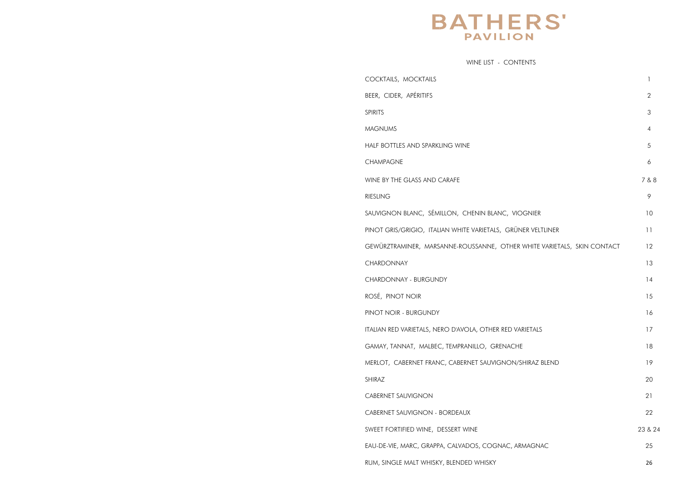# **BATHERS' PAVILION**

WINE LIST - CONTENTS

COCKTAILS, MOCKTAILS 1 BEER, CIDER, APÉRITIFS SPIRITS 3 **MAGNUMS** HALF BOTTLES AND SPARKLING WINE **CHAMPAGNE** WINE BY THE GLASS AND CARAFE RIESLING 9 SAUVIGNON BLANC, SÉMILLON, CHENIN BLANC, VI PINOT GRIS/GRIGIO, ITALIAN WHITE VARIETALS, GRÜ GEWÜRZTRAMINER, MARSANNE-ROUSSANNE, OTHER **CHARDONNAY** CHARDONNAY - BURGUNDY ROSÉ, PINOT NOIR PINOT NOIR - BURGUNDY ITALIAN RED VARIETALS, NERO D'AVOLA, OTHER RED V. GAMAY, TANNAT, MALBEC, TEMPRANILLO, GRENACH MERLOT, CABERNET FRANC, CABERNET SAUVIGNON, SHIRAZ 20 CABERNET SAUVIGNON CABERNET SAUVIGNON - BORDEAUX SWEET FORTIFIED WINE, DESSERT WINE 23 & 24 EAU-DE-VIE, MARC, GRAPPA, CALVADOS, COGNAC, A RUM, SINGLE MALT WHISKY, BLENDED WHISKY

|                                 | $\begin{array}{c} \hline \end{array}$ |
|---------------------------------|---------------------------------------|
|                                 | $\overline{c}$                        |
|                                 | $\ensuremath{\mathsf{3}}$             |
|                                 | $\overline{4}$                        |
|                                 | 5                                     |
|                                 | 6                                     |
|                                 | 7 & 8                                 |
|                                 | 9                                     |
| <b>IOGNIER</b>                  | $10$                                  |
| .<br>JNER VELTLINER             | 11                                    |
| R WHITE VARIETALS, SKIN CONTACT | 12                                    |
|                                 | $13\,$                                |
|                                 | 14                                    |
|                                 | 15                                    |
|                                 | 16                                    |
| /ARIETALS                       | 17                                    |
| НE                              | 18                                    |
| /SHIRAZ BLEND                   | 19                                    |
|                                 | 20                                    |
|                                 | 21                                    |
|                                 | 22                                    |
|                                 | 23 & 2                                |
| ARMAGNAC                        | 25                                    |
|                                 | 26                                    |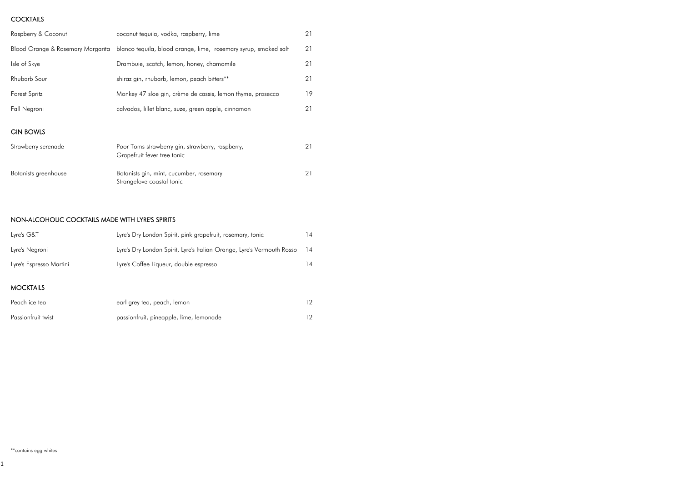# **COCKTAILS**

| Raspberry & Coconut               | coconut tequila, vodka, raspberry, lime                                         | 21 |
|-----------------------------------|---------------------------------------------------------------------------------|----|
| Blood Orange & Rosemary Margarita | blanco tequila, blood orange, lime, rosemary syrup, smoked salt                 | 21 |
| Isle of Skye                      | Drambuie, scotch, lemon, honey, chamomile                                       | 21 |
| Rhubarb Sour                      | shiraz gin, rhubarb, lemon, peach bitters**                                     | 21 |
| Forest Spritz                     | Monkey 47 sloe gin, crème de cassis, lemon thyme, prosecco                      | 19 |
| Fall Negroni                      | calvados, lillet blanc, suze, green apple, cinnamon                             | 21 |
| <b>GIN BOWLS</b>                  |                                                                                 |    |
| Strawberry serenade               | Poor Toms strawberry gin, strawberry, raspberry,<br>Grapefruit fever tree tonic | 21 |
| Botanists greenhouse              | Botanists gin, mint, cucumber, rosemary<br>Strangelove coastal tonic            | 21 |

# NON-ALCOHOLIC COCKTAILS MADE WITH LYRE'S SPIRITS

| Lyre's Dry London Spirit, pink grapefruit, rosemary, tonic             | ا 4 |
|------------------------------------------------------------------------|-----|
| Lyre's Dry London Spirit, Lyre's Italian Orange, Lyre's Vermouth Rosso | 14  |
| Lyre's Coffee Liqueur, double espresso                                 | 14  |
|                                                                        |     |

# MOCKTAILS

| Peach ice tea      | earl grey tea, peach, lemon             |  |
|--------------------|-----------------------------------------|--|
| Passionfruit twist | passionfruit, pineapple, lime, lemonade |  |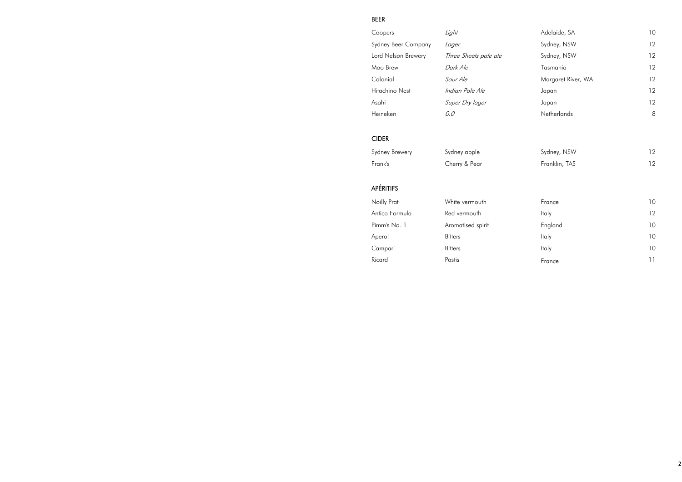# BEER

| Coopers             | Light                 | Adelaide, SA       | 10 |
|---------------------|-----------------------|--------------------|----|
| Sydney Beer Company | Lager                 | Sydney, NSW        | 12 |
| Lord Nelson Brewery | Three Sheets pale ale | Sydney, NSW        | 12 |
| Moo Brew            | Dark Ale              | Tasmania           | 12 |
| Colonial            | Sour Ale              | Margaret River, WA | 12 |
| Hitachino Nest      | Indian Pale Ale       | Japan              | 12 |
| Asahi               | Super Dry lager       | Japan              | 12 |
| Heineken            | 0.0                   | <b>Netherlands</b> | 8  |

| Sydney, NSW   | 12 |
|---------------|----|
| Franklin, TAS | 12 |

| Coopers             | Light                 | Adelaide, SA       | I U |
|---------------------|-----------------------|--------------------|-----|
| Sydney Beer Company | Lager                 | Sydney, NSW        | 12  |
| Lord Nelson Brewery | Three Sheets pale ale | Sydney, NSW        | 12  |
| Moo Brew            | Dark Ale              | Tasmania           | 12  |
| Colonial            | Sour Ale              | Margaret River, WA | 12  |
| Hitachino Nest      | Indian Pale Ale       | Japan              | 12  |
| Asahi               | Super Dry lager       | Japan              | 12  |
| Heineken            | 0.0                   | Netherlands        | 8   |
|                     |                       |                    |     |

| Noilly Prat    | White vermouth    | France       | 10 |
|----------------|-------------------|--------------|----|
| Antica Formula | Red vermouth      | <b>Italy</b> | 12 |
| Pimm's No. 1   | Aromatised spirit | England      | 10 |
| Aperol         | <b>Bitters</b>    | Italy        | 10 |
| Campari        | <b>Bitters</b>    | Italy        | 10 |
| Ricard         | Pastis            | France       | 11 |

# CIDER

Sydney Brewery Sydney apple Frank's Cherry & Pear

# APÉRITIFS

| Noilly Prat    |
|----------------|
| Antica Formula |
| Pimm's No. 1   |
| Aperol         |
| Campari        |
| Ricard         |
|                |

Noilly Prat **France 10** White vermouth Red vermouth Aromatised spirit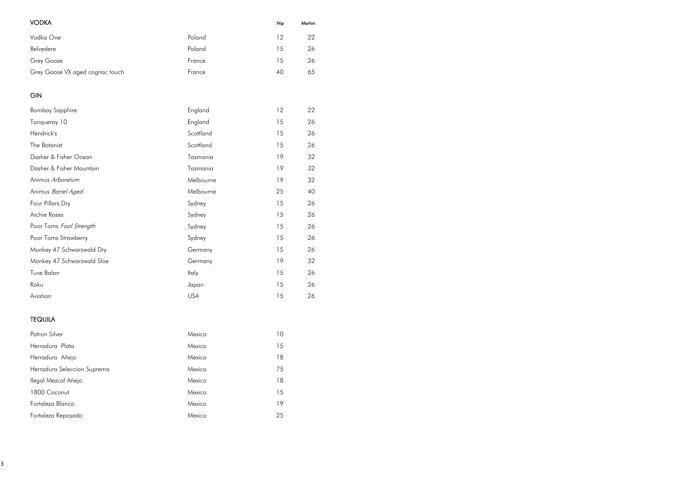| <b>VODKA</b>                    |        | Nip | Martini |
|---------------------------------|--------|-----|---------|
| Vodka One                       | Poland | 12  | 22      |
| Belvedere                       | Poland | 15  | 26      |
| Grey Goose                      | France | 15  | 26      |
| Grey Goose VX aged cognac touch | France | 40  | 65      |

# GIN

| <b>Bombay Sapphire</b>     | England      | 12 | 22 |
|----------------------------|--------------|----|----|
| Tanqueray 10               | England      | 15 | 26 |
| Hendrick's                 | Scottland    | 15 | 26 |
| The Botanist               | Scottland    | 15 | 26 |
| Dasher & Fisher Ocean      | Tasmania     | 19 | 32 |
| Dasher & Fisher Mountain   | Tasmania     | 19 | 32 |
| Animus Arboretum           | Melbourne    | 19 | 32 |
| Animus Barrel Aged         | Melbourne    | 25 | 40 |
| Four Pillars Dry           | Sydney       | 15 | 26 |
| Archie Roses               | Sydney       | 15 | 26 |
| Poor Toms Fool Strength    | Sydney       | 15 | 26 |
| Poor Toms Strawberry       | Sydney       | 15 | 26 |
| Monkey 47 Schwarzwald Dry  | Germany      | 15 | 26 |
| Monkey 47 Schwarzwald Sloe | Germany      | 19 | 32 |
| Tuve Balon                 | <b>Italy</b> | 15 | 26 |
| Roku                       | Japan        | 15 | 26 |
| Aviation                   | <b>USA</b>   | 15 | 26 |

# TEQUILA

| <b>Patron Silver</b>        | Mexico | 10 |
|-----------------------------|--------|----|
| Herradura Plata             | Mexico | 15 |
| Herradura Añejo             | Mexico | 18 |
| Herradura Seleccion Suprema | Mexico | 75 |
| Ilegal Mezcal Añejo         | Mexico | 18 |
| 1800 Coconut                | Mexico | 15 |
| Fortaleza Blanco            | Mexico | 19 |
| Fortaleza Reposado          | Mexico | 25 |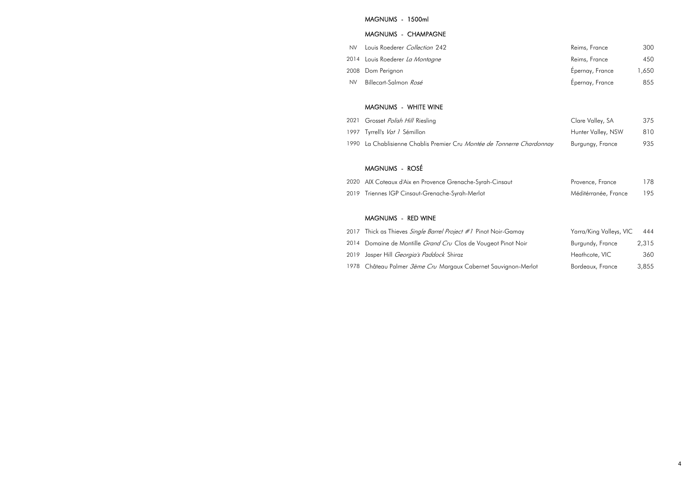### MAGNUMS - 1500ml

#### MAGNUMS - CHAMPAGNE

- NV Louis Roederer Collection 242
- 2014 Louis Roederer La Montagne
- 2008 Dom Perignon
- NV Billecart-Salmon Rosé

#### MAGNUMS - WHITE WINE

- 2021 Grosset Polish Hill Riesling
- 1997 Tyrrell's Vat 1 Sémillon
- 1990 La Chablisienne Chablis Premier Cru Montée de Tonnerre

## MAGNUMS - ROSÉ

- 2020 AIX Coteaux d'Aix en Provence Grenache-Syrah-Cinsaut
- 2019 Triennes IGP Cinsaut-Grenache-Syrah-Merlot

# MAGNUMS - RED WINE

- 2017 Thick as Thieves Single Barrel Project #1 Pinot Noir-Gan
- 2014 Domaine de Montille Grand Cru Clos de Vougeot Pinot
- 2019 Jasper Hill Georgia's Paddock Shiraz
- 1978 Château Palmer *3ème Cru* Margaux Cabernet Sauvignor

| Reims, France   | 300   |
|-----------------|-------|
| Reims, France   | 450   |
| Épernay, France | 1,650 |
| Épernay, France | 855   |

|              | Clare Valley, SA   | 375 |
|--------------|--------------------|-----|
|              | Hunter Valley, NSW | 810 |
| e Chardonnay | Burgungy, France   | 935 |

| Provence, France     | 178 |
|----------------------|-----|
| Méditérranée, France | 195 |

| nay      | Yarra/King Valleys, VIC | 444   |
|----------|-------------------------|-------|
| Noir     | Burgundy, France        | 2,315 |
|          | Heathcote, VIC          | 360   |
| n-Merlot | Bordeaux, France        | 3,855 |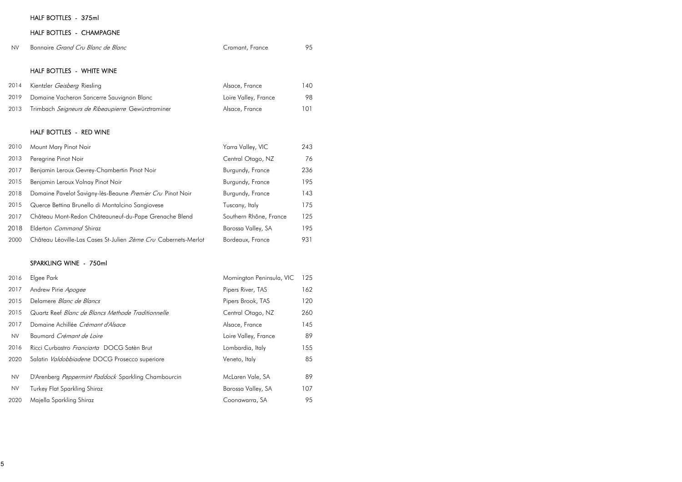# HALF BOTTLES - 375ml

# HALF BOTTLES - CHAMPAGNE

| <b>NV</b> | Bonnaire <i>Grand Cru Blanc de Blanc</i> | Cramant, France | 95 |
|-----------|------------------------------------------|-----------------|----|
|           |                                          |                 |    |

# HALF BOTTLES - WHITE WINE

| 2014 | Kientzler <i>Geisberg</i> Riesling                | Alsace, France       | 140 |
|------|---------------------------------------------------|----------------------|-----|
| 2019 | Domaine Vacheron Sancerre Sauvignon Blanc         | Loire Valley, France | 98  |
| 2013 | Trimbach Seigneurs de Ribeaupierre Gewürztraminer | Alsace, France       | 101 |

# HALF BOTTLES - RED WINE

| 2010 | Mount Mary Pinot Noir                                          | Yarra Valley, VIC      | 243 |
|------|----------------------------------------------------------------|------------------------|-----|
| 2013 | Peregrine Pinot Noir                                           | Central Otago, NZ      | 76  |
| 2017 | Benjamin Leroux Gevrey-Chambertin Pinot Noir                   | Burgundy, France       | 236 |
| 2015 | Benjamin Leroux Volnay Pinot Noir                              | Burgundy, France       | 195 |
| 2018 | Domaine Pavelot Savigny-lès-Beaune Premier Cru Pinot Noir      | Burgundy, France       | 143 |
| 2015 | Querce Bettina Brunello di Montalcino Sangiovese               | Tuscany, Italy         | 175 |
| 2017 | Château Mont-Redon Châteauneuf-du-Pape Grenache Blend          | Southern Rhône, France | 125 |
| 2018 | Elderton <i>Command</i> Shiraz                                 | Barossa Valley, SA     | 195 |
| 2000 | Château Léoville-Las Cases St-Julien 2ème Cru Cabernets-Merlot | Bordeaux, France       | 931 |

# SPARKLING WINE - 750ml

| 2016      | Elgee Park                                          | Mornington Peninsula, VIC | 125 |
|-----------|-----------------------------------------------------|---------------------------|-----|
| 2017      | Andrew Pirie Apogee                                 | Pipers River, TAS         | 162 |
| 2015      | Delamere Blanc de Blancs                            | Pipers Brook, TAS         | 120 |
| 2015      | Quartz Reef Blanc de Blancs Methode Traditionnelle  | Central Otago, NZ         | 260 |
| 2017      | Domaine Achillée Crémant d'Alsace                   | Alsace, France            | 145 |
| NV.       | Baumard Crémant de Loire                            | Loire Valley, France      | 89  |
| 2016      | Ricci Curbastro <i>Franciarta</i> DOCG Satèn Brut   | Lombardia, Italy          | 155 |
| 2020      | Salatin Valdobbiadene DOCG Prosecco superiore       | Veneto, Italy             | 85  |
| <b>NV</b> | D'Arenberg Peppermint Paddock Sparkling Chambourcin | McLaren Vale, SA          | 89  |
| <b>NV</b> | <b>Turkey Flat Sparkling Shiraz</b>                 | Barossa Valley, SA        | 107 |
| 2020      | Majella Sparkling Shiraz                            | Coonawarra, SA            | 95  |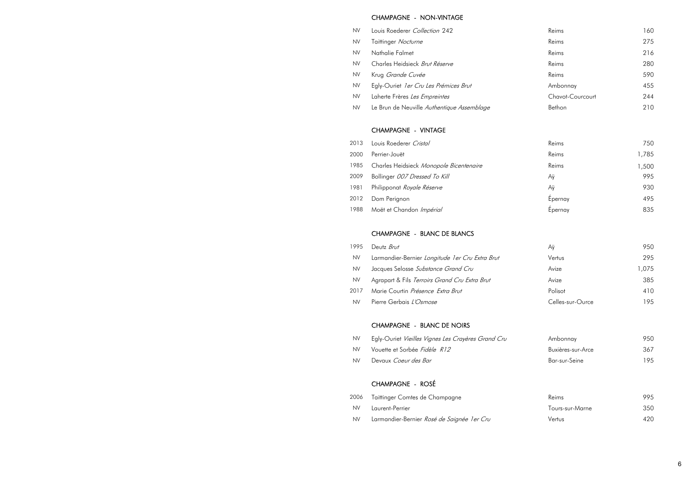#### CHAMPAGNE - NON-VINTAGE

- NV Louis Roederer Collection 242
- NV Taittinger Nocturne
- NV Nathalie Falmet
- NV Charles Heidsieck Brut Réserve
- NV Krug Grande Cuvée
- NV Egly-Ouriet 1er Cru Les Prémices Brut
- NV Laherte Frères Les Empreintes
- NV Le Brun de Neuville Authentique Assemblage

#### CHAMPAGNE - VINTAGE

- 2013 Louis Roederer Cristal
- 
- 1985 Charles Heidsieck Monopole Bicentenaire
- 2009 Bollinger 007 Dressed To Kill
- 1981 Philipponat Royale Réserve
- 2012 Dom Perignon
- 1988 Moët et Chandon Impérial

|      | 2013 Louis Roederer Cristal                  | Reims   | 750   |
|------|----------------------------------------------|---------|-------|
| 2000 | Perrier-Jouët                                | Reims   | 1,785 |
|      | 1985 Charles Heidsieck Monopole Bicentenaire | Reims   | 1,500 |
| 2009 | Bollinger 007 Dressed To Kill                | Αÿ      | 995   |
| 1981 | Philipponat <i>Royale Réserve</i>            | Αÿ      | 930   |
| 2012 | Dom Perignon                                 | Épernay | 495   |
|      | 1988 Moët et Chandon Impérial                | Epernay | 835   |
|      |                                              |         |       |

| Аÿ               | 950   |
|------------------|-------|
| Vertus           | 295   |
| Avize            | 1,075 |
| Avize            | 385   |
| Polisot          | 410   |
| Celles-sur-Ource | 195   |

| Ambonnay          | 950. |
|-------------------|------|
| Buxières-sur-Arce | 367  |
| Bar-sur-Seine     | 195  |

| Reims           | 995 |
|-----------------|-----|
| Tours-sur-Marne | 350 |
| Vertus          | 420 |

#### CHAMPAGNE - BLANC DE BLANCS

| 1995      | Deutz <i>Brut</i>                                |        | 950  |
|-----------|--------------------------------------------------|--------|------|
| <b>NV</b> | Larmandier-Bernier Longitude 1 er Cru Extra Brut | Vertus | 295  |
| <b>NV</b> | Jacques Selosse Substance Grand Cru              | Avize  | ,075 |
| NV        | Agrapart & Fils Terroirs Grand Cru Extra Brut    | Avize  | 385  |

- 2017 Marie Courtin Présence Extra Brut
- NV Pierre Gerbais L'Osmose

#### CHAMPAGNE - BLANC DE NOIRS

- NV Egly-Ouriet Vieilles Vignes Les Crayères Grand Cru
- NV Vouette et Sorbée Fidèle R12
- NV Devaux Coeur des Bar-

#### CHAMPAGNE - ROSÉ

- 2006 Taittinger Comtes de Champagne
- NV Laurent-Perrier
- NV Larmandier-Bernier Rosé de Saignée 1 er Cru

| Reims            | 160 |
|------------------|-----|
| Reims            | 275 |
| Reims            | 216 |
| Reims            | 280 |
| Reims            | 590 |
| Ambonnay         | 455 |
| Chavot-Courcourt | 244 |
| Bethon           | 210 |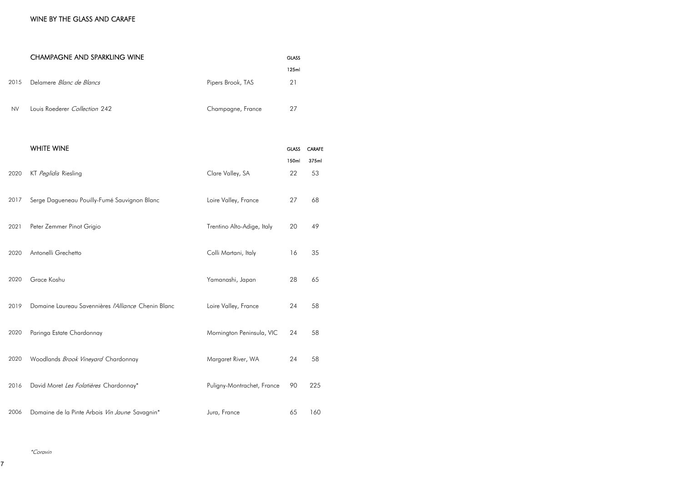# WINE BY THE GLASS AND CARAFE

|           | <b>CHAMPAGNE AND SPARKLING WINE</b>                 |                            | <b>GLASS</b><br>125ml |                        |
|-----------|-----------------------------------------------------|----------------------------|-----------------------|------------------------|
| 2015      | Delamere Blanc de Blancs                            | Pipers Brook, TAS          | 21                    |                        |
| <b>NV</b> | Louis Roederer Collection 242                       | Champagne, France          | 27                    |                        |
|           | <b>WHITE WINE</b>                                   |                            | <b>GLASS</b><br>150ml | <b>CARAFE</b><br>375ml |
| 2020      | KT Peglidis Riesling                                | Clare Valley, SA           | 22                    | 53                     |
| 2017      | Serge Dagueneau Pouilly-Fumé Sauvignon Blanc        | Loire Valley, France       | 27                    | 68                     |
| 2021      | Peter Zemmer Pinot Grigio                           | Trentino Alto-Adige, Italy | 20                    | 49                     |
| 2020      | Antonelli Grechetto                                 | Colli Martani, Italy       | 16                    | 35                     |
| 2020      | Grace Koshu                                         | Yamanashi, Japan           | 28                    | 65                     |
| 2019      | Domaine Laureau Savennières /'Alliance Chenin Blanc | Loire Valley, France       | 24                    | 58                     |
| 2020      | Paringa Estate Chardonnay                           | Mornington Peninsula, VIC  | 24                    | 58                     |
| 2020      | Woodlands Brook Vineyard Chardonnay                 | Margaret River, WA         | 24                    | 58                     |
| 2016      | David Moret Les Folatières Chardonnay*              | Puligny-Montrachet, France | 90                    | 225                    |
| 2006      | Domaine de la Pinte Arbois Vin Jaune Savagnin*      | Jura, France               | 65                    | 160                    |

\*Coravin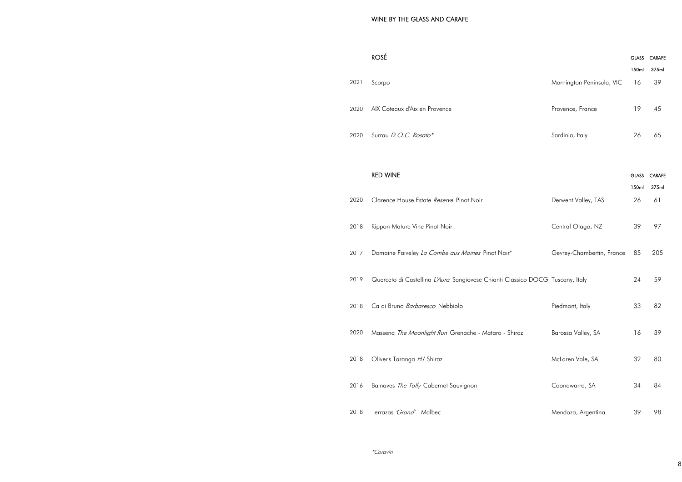| 2021 Scorpo                        |
|------------------------------------|
| 2020 AIX Coteaux d'Aix en Provence |
| 2020 Surrau <i>D.O.C. Rosato*</i>  |

## **RED WINE**

| 2020 | Clarence House Estate Reserve Pinot Noir                                      | Derwent Valley, TAS       | 26 | 61  |
|------|-------------------------------------------------------------------------------|---------------------------|----|-----|
| 2018 | Rippon Mature Vine Pinot Noir                                                 | Central Otago, NZ         | 39 | 97  |
| 2017 | Domaine Faiveley La Combe aux Moines Pinot Noir*                              | Gevrey-Chambertin, France | 85 | 205 |
| 2019 | Querceto di Castellina L'Aura Sangiovese Chianti Classico DOCG Tuscany, Italy |                           | 24 | 59  |
| 2018 | Ca di Bruno Barbaresco Nebbiolo                                               | Piedmont, Italy           | 33 | 82  |
| 2020 | Massena The Moonlight Run Grenache - Mataro - Shiraz                          | Barossa Valley, SA        | 16 | 39  |
| 2018 | Oliver's Taranga HJ Shiraz                                                    | McLaren Vale, SA          | 32 | 80  |
| 2016 | Balnaves The Tally Cabernet Sauvignon                                         | Coonawarra, SA            | 34 | 84  |
| 2018 | Terrazas 'Grand' Malbec                                                       | Mendoza, Argentina        | 39 | 98  |

|      | <b>ROSÉ</b>                                                                   |                           | <b>GLASS</b> | <b>CARAFE</b> |
|------|-------------------------------------------------------------------------------|---------------------------|--------------|---------------|
|      |                                                                               |                           | 150ml        | 375ml         |
| 2021 | Scorpo                                                                        | Mornington Peninsula, VIC | 16           | 39            |
| 2020 | AIX Coteaux d'Aix en Provence                                                 | Provence, France          | 19           | 45            |
| 2020 | Surrau D.O.C. Rosato*                                                         | Sardinia, Italy           | 26           | 65            |
|      |                                                                               |                           |              |               |
|      | <b>RED WINE</b>                                                               |                           | <b>GLASS</b> | <b>CARAFE</b> |
|      |                                                                               |                           | 150ml        | 375ml         |
| 2020 | Clarence House Estate Reserve Pinot Noir                                      | Derwent Valley, TAS       | 26           | 61            |
|      |                                                                               |                           |              |               |
| 2018 | Rippon Mature Vine Pinot Noir                                                 | Central Otago, NZ         | 39           | 97            |
|      |                                                                               |                           |              |               |
| 2017 | Domaine Faiveley La Combe aux Moines Pinot Noir*                              | Gevrey-Chambertin, France | 85           | 205           |
| 2019 | Querceto di Castellina L'Aura Sangiovese Chianti Classico DOCG Tuscany, Italy |                           | 24           | 59            |
|      |                                                                               |                           |              |               |
| 2018 | Ca di Bruno Barbaresco Nebbiolo                                               | Piedmont, Italy           | 33           | 82            |
|      |                                                                               |                           |              |               |
| 2020 | Massena The Moonlight Run Grenache - Mataro - Shiraz                          | Barossa Valley, SA        | 16           | 39            |
|      |                                                                               |                           |              |               |
| 2018 | Oliver's Taranga HJ Shiraz                                                    | McLaren Vale, SA          | 32           | 80            |
|      |                                                                               |                           |              |               |
| 2016 | Balnaves The Tally Cabernet Sauvignon                                         | Coonawarra, SA            | 34           | 84            |
| 2018 | Terrazas 'Grand' Malbec                                                       | Mendoza, Argentina        | 39           | 98            |
|      |                                                                               |                           |              |               |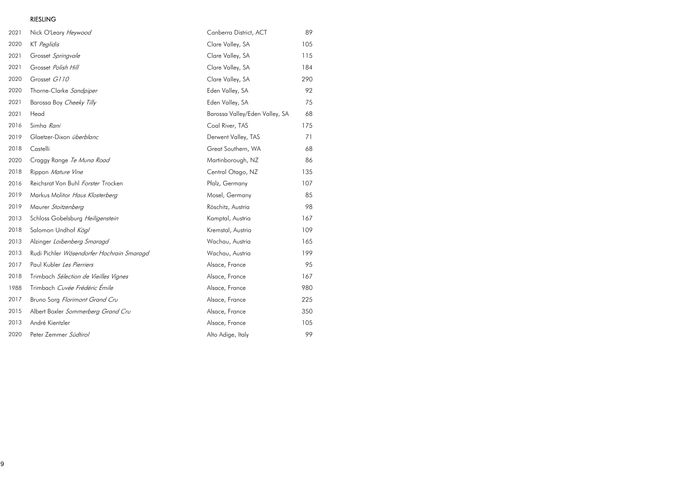# RIESLING

| 2021 | Nick O'Leary Heywood                      | Canberra District, ACT         | 89  |
|------|-------------------------------------------|--------------------------------|-----|
| 2020 | KT Peglidis                               | Clare Valley, SA               | 105 |
| 2021 | Grosset Springvale                        | Clare Valley, SA               | 115 |
| 2021 | Grosset Polish Hill                       | Clare Valley, SA               | 184 |
| 2020 | Grosset G110                              | Clare Valley, SA               | 290 |
| 2020 | Thorne-Clarke Sandpiper                   | Eden Valley, SA                | 92  |
| 2021 | Barossa Boy Cheeky Tilly                  | Eden Valley, SA                | 75  |
| 2021 | Head                                      | Barossa Valley/Eden Valley, SA | 68  |
| 2016 | Simha Rani                                | Coal River, TAS                | 175 |
| 2019 | Glaetzer-Dixon überblanc                  | Derwent Valley, TAS            | 71  |
| 2018 | Castelli                                  | Great Southern, WA             | 68  |
| 2020 | Craggy Range Te Muna Road                 | Martinborough, NZ              | 86  |
| 2018 | Rippon Mature Vine                        | Central Otago, NZ              | 135 |
| 2016 | Reichsrat Von Buhl Forster Trocken        | Pfalz, Germany                 | 107 |
| 2019 | Markus Molitor Haus Klosterberg           | Mosel, Germany                 | 85  |
| 2019 | Maurer Stoitzenberg                       | Röschitz, Austria              | 98  |
| 2013 | Schloss Gobelsburg Heiligenstein          | Kamptal, Austria               | 167 |
| 2018 | Salomon Undhof Kögl                       | Kremstal, Austria              | 109 |
| 2013 | Alzinger Loibenberg Smaragd               | Wachau, Austria                | 165 |
| 2013 | Rudi Pichler Wösendorfer Hochrain Smaragd | Wachau, Austria                | 199 |
| 2017 | Paul Kubler Les Pierriers                 | Alsace, France                 | 95  |
| 2018 | Trimbach Sélection de Vieilles Vignes     | Alsace, France                 | 167 |
| 1988 | Trimbach Cuvée Frédéric Émile             | Alsace, France                 | 980 |
| 2017 | Bruno Sorg Florimont Grand Cru            | Alsace, France                 | 225 |
| 2015 | Albert Boxler Sommerberg Grand Cru        | Alsace, France                 | 350 |
| 2013 | André Kientzler                           | Alsace, France                 | 105 |
| 2020 | Peter Zemmer Südtirol                     | Alto Adige, Italy              | 99  |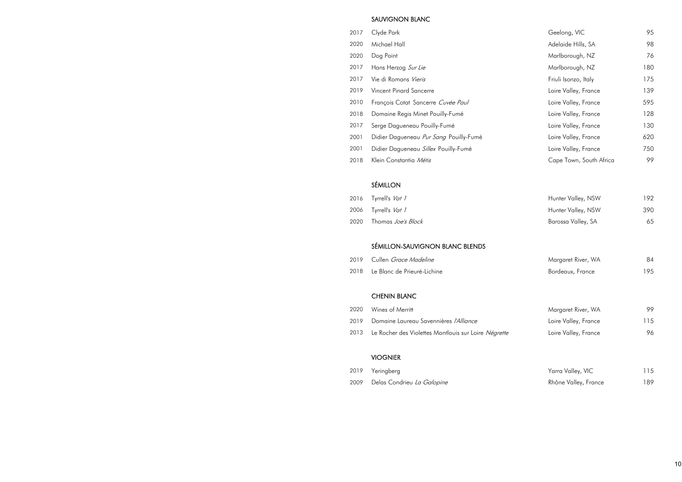### SAUVIGNON BLANC

- 2017 Clyde Park
- 2020 Michael Hall
- 
- 2017 Hans Herzog Sur Lie
- 2017 Vie di Romans Vieris
- 2019 Vincent Pinard Sancerre
- 2010 François Cotat Sancerre Cuvée Paul
- 2018 Domaine Regis Minet Pouilly-Fumé
- 2017 Serge Dagueneau Pouilly-Fumé
- 2001 Didier Dagueneau Pur Sang Pouilly-Fumé
- 2001 Didier Dagueneau Sillex Pouilly-Fumé
- 2018 Klein Constantia Métis

| 2017 | Clyde Park                             | Geelong, VIC            | 95  |
|------|----------------------------------------|-------------------------|-----|
| 2020 | Michael Hall                           | Adelaide Hills, SA      | 98  |
| 2020 | Dog Point                              | Marlborough, NZ         | 76  |
| 2017 | Hans Herzog Sur Lie                    | Marlborough, NZ         | 180 |
| 2017 | Vie di Romans Vieris                   | Friuli Isonzo, Italy    | 175 |
| 2019 | <b>Vincent Pinard Sancerre</b>         | Loire Valley, France    | 139 |
| 2010 | François Cotat Sancerre Cuvée Paul     | Loire Valley, France    | 595 |
| 2018 | Domaine Regis Minet Pouilly-Fumé       | Loire Valley, France    | 128 |
| 2017 | Serge Dagueneau Pouilly-Fumé           | Loire Valley, France    | 130 |
| 2001 | Didier Dagueneau Pur Sang Pouilly-Fumé | Loire Valley, France    | 620 |
| 2001 | Didier Dagueneau Sillex Pouilly-Fumé   | Loire Valley, France    | 750 |
| 2018 | Klein Constantia Métis                 | Cape Town, South Africa | 99  |

| Hunter Valley, NSW | 192. |
|--------------------|------|
| Hunter Valley, NSW | 390. |
| Barossa Valley, SA | 65   |

# SÉMILLON

- 2016 Tyrrell's Vat 1
- 2006 Tyrrell's  $Vat$  1
- 2020 Thomas Joe's Block

# SÉMILLON-SAUVIGNON BLANC BLENDS

| 2019 | Cullen <i>Grace Madeline</i> |  |
|------|------------------------------|--|
|      |                              |  |

| 2019 Cullen <i>Grace Madeline</i> | Margaret River, WA | 84  |
|-----------------------------------|--------------------|-----|
| 2018 Le Blanc de Prieuré-Lichine  | Bordeaux, France   | 195 |

| Margaret River, WA   | 99  |
|----------------------|-----|
| Loire Valley, France | 115 |
| Loire Valley, France | 96  |

| Yarra Valley, VIC    | 115 |
|----------------------|-----|
| Rhône Valley, France | 189 |

#### CHENIN BLANC

- 2020 Wines of Merritt
- 2019 Domaine Laureau Savennières l'Alliance
- 2013 Le Rocher des Violettes Montlouis sur Loire Négrette

### VIOGNIER

- 2019 Yeringberg
- 2009 Delas Condrieu La Galopine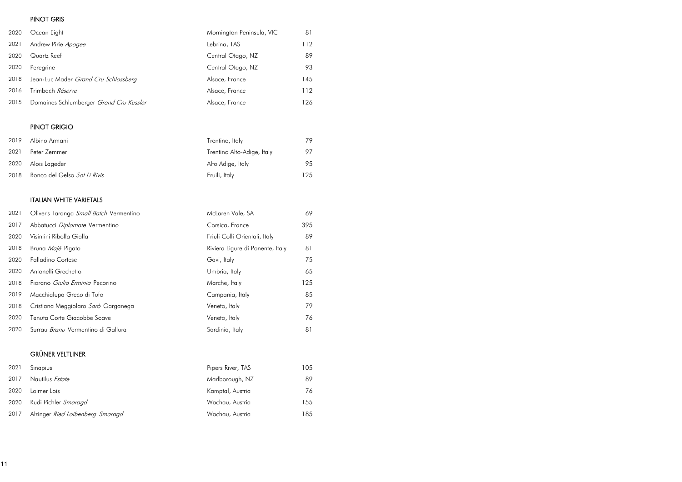## PINOT GRIS

| 2020 | Ocean Eight                             | Mornington Peninsula, VIC | 81  |
|------|-----------------------------------------|---------------------------|-----|
| 2021 | Andrew Pirie Apogee                     | Lebrina, TAS              | 112 |
| 2020 | Quartz Reef                             | Central Otago, NZ         | 89  |
| 2020 | Peregrine                               | Central Otago, NZ         | 93  |
| 2018 | Jean-Luc Mader Grand Cru Schlossberg    | Alsace, France            | 145 |
| 2016 | Trimbach Réserve                        | Alsace, France            | 112 |
| 2015 | Domaines Schlumberger Grand Cru Kessler | Alsace, France            | 126 |

# PINOT GRIGIO

|              | Trentino, Italy                                                            | 79  |
|--------------|----------------------------------------------------------------------------|-----|
| Peter Zemmer | Trentino Alto-Adige, Italy                                                 | 97  |
|              | Alto Adige, Italy                                                          | 95  |
|              | Fruili, Italy                                                              | 125 |
|              | Albino Armani<br>2020 Alois Lageder<br>Ronco del Gelso <i>Sot Li Rivis</i> |     |

# ITALIAN WHITE VARIETALS

| 2021 | Oliver's Taranga Small Batch Vermentino   | McLaren Vale, SA                 | 69  |
|------|-------------------------------------------|----------------------------------|-----|
| 2017 | Abbatucci Diplomate Vermentino            | Corsica, France                  | 395 |
| 2020 | Visintini Ribolla Gialla                  | Friuli Colli Orientali, Italy    | 89  |
| 2018 | Bruna Majé Pigato                         | Riviera Ligure di Ponente, Italy | 81  |
| 2020 | Palladino Cortese                         | Gavi, Italy                      | 75  |
| 2020 | Antonelli Grechetto                       | Umbria, Italy                    | 65  |
| 2018 | Fiorano <i>Giulia Erminia</i> Pecorino    | Marche, Italy                    | 125 |
| 2019 | Macchialupa Greco di Tufo                 | Campania, Italy                  | 85  |
| 2018 | Cristiana Meggiolaro Sarò Garganega       | Veneto, Italy                    | 79  |
| 2020 | Tenuta Corte Giacobbe Soave               | Veneto, Italy                    | 76  |
| 2020 | Surrau <i>Branu</i> Vermentino di Gallura | Sardinia, Italy                  | 81  |

# GRÜNER VELTLINER

| 2021 | Sinapius                         | Pipers River, TAS | 105. |
|------|----------------------------------|-------------------|------|
| 2017 | Nautilus <i>Estate</i>           | Marlborough, NZ   | 89   |
| 2020 | Loimer Lois                      | Kamptal, Austria  | 76   |
| 2020 | Rudi Pichler <i>Smaragd</i>      | Wachau, Austria   | 155. |
| 2017 | Alzinger Ried Loibenberg Smaragd | Wachau, Austria   | 185  |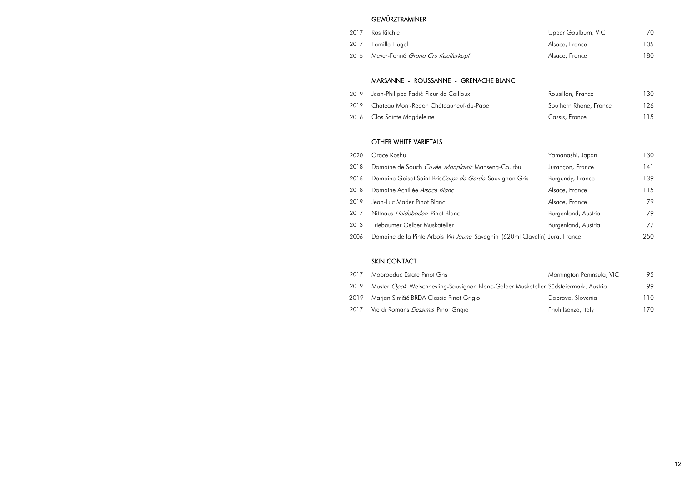# **GEWÜRZTRAMINER**

- 
- 2017 Famille Hugel
- 2015 Meyer-Fonné Grand Cru Kaefferkopf

| 2017 | Ros Ritchie                                   | Upper Goulburn, VIC | 70.  |
|------|-----------------------------------------------|---------------------|------|
|      | 2017 Famille Hugel                            | Alsace, France      | 105  |
|      | 2015 Meyer-Fonné <i>Grand Cru Kaefferkopf</i> | Alsace, France      | 180. |

| Rousillon, France      | 130 |
|------------------------|-----|
| Southern Rhône, France | 126 |
| Cassis, France         | 115 |

|      | Yamanashi, Japan          | 130 |
|------|---------------------------|-----|
| bu   | Jurançon, France          | 141 |
| Gris | Burgundy, France          | 139 |
|      | Alsace, France            | 115 |
|      | Alsace, France            | 79  |
|      | Burgenland, Austria       | 79  |
|      | Burgenland, Austria       | 77  |
|      | ml Clavelin) Jura, France | 250 |

| Mornington Peninsula, VIC          | 95  |
|------------------------------------|-----|
| Muskateller Südsteiermark, Austria | 99  |
| Dobrovo, Slovenia                  | 110 |
| Friuli Isonzo, Italy               | 170 |

### MARSANNE - ROUSSANNE - GRENACHE BLANC

- 2019 Jean-Philippe Padié Fleur de Cailloux
- 2019 Château Mont-Redon Châteauneuf-du-Pape
- 2016 Clos Sainte Magdeleine

#### OTHER WHITE VARIETALS

- 2020 Grace Koshu 2018 Domaine de Souch Cuvée Monplaisir Manseng-Courl 2015 Domaine Goisot Saint-Bris Corps de Garde Sauvignon 2018 Domaine Achillée Alsace Blanc 2019 Jean-Luc Mader Pinot Blanc 2017 Nittnaus Heideboden Pinot Blanc
- 2013 Triebaumer Gelber Muskateller
- 2006 Domaine de la Pinte Arbois Vin Jaune Savagnin (620r

### SKIN CONTACT

- 2017 Moorooduc Estate Pinot Gris
- 2019 Muster Opok Welschriesling-Sauvignon Blanc-Gelber
- 2019 Marjan Simčič BRDA Classic Pinot Grigio
- 2017 Vie di Romans Dessimis Pinot Grigio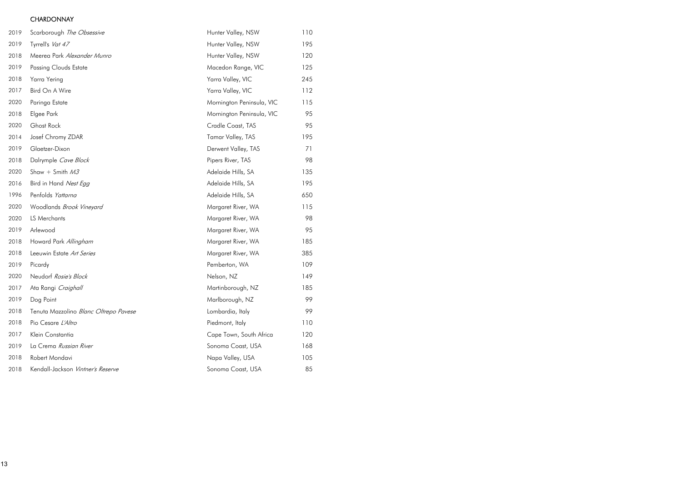## **CHARDONNAY**

| 2019 | Scarborough The Obsessive             | Hunter Valley, NSW        | 110 |
|------|---------------------------------------|---------------------------|-----|
| 2019 | Tyrrell's Vat 47                      | Hunter Valley, NSW        | 195 |
| 2018 | Meerea Park Alexander Munro           | Hunter Valley, NSW        | 120 |
| 2019 | <b>Passing Clouds Estate</b>          | Macedon Range, VIC        | 125 |
| 2018 | Yarra Yering                          | Yarra Valley, VIC         | 245 |
| 2017 | Bird On A Wire                        | Yarra Valley, VIC         | 112 |
| 2020 | Paringa Estate                        | Mornington Peninsula, VIC | 115 |
| 2018 | Elgee Park                            | Mornington Peninsula, VIC | 95  |
| 2020 | <b>Ghost Rock</b>                     | Cradle Coast, TAS         | 95  |
| 2014 | Josef Chromy ZDAR                     | Tamar Valley, TAS         | 195 |
| 2019 | Glaetzer-Dixon                        | Derwent Valley, TAS       | 71  |
| 2018 | Dalrymple Cave Block                  | Pipers River, TAS         | 98  |
| 2020 | Shaw + Smith $M3$                     | Adelaide Hills, SA        | 135 |
| 2016 | Bird in Hand Nest Egg                 | Adelaide Hills, SA        | 195 |
| 1996 | Penfolds Yattarna                     | Adelaide Hills, SA        | 650 |
| 2020 | Woodlands Brook Vineyard              | Margaret River, WA        | 115 |
| 2020 | LS Merchants                          | Margaret River, WA        | 98  |
| 2019 | Arlewood                              | Margaret River, WA        | 95  |
| 2018 | Howard Park Allingham                 | Margaret River, WA        | 185 |
| 2018 | Leeuwin Estate Art Series             | Margaret River, WA        | 385 |
| 2019 | Picardy                               | Pemberton, WA             | 109 |
| 2020 | Neudorf Rosie's Block                 | Nelson, NZ                | 149 |
| 2017 | Ata Rangi Craighall                   | Martinborough, NZ         | 185 |
| 2019 | Dog Point                             | Marlborough, NZ           | 99  |
| 2018 | Tenuta Mazzolino Blanc Oltrepo Pavese | Lombardia, Italy          | 99  |
| 2018 | Pio Cesare L'Altro                    | Piedmont, Italy           | 110 |
| 2017 | Klein Constantia                      | Cape Town, South Africa   | 120 |
| 2019 | La Crema Russian River                | Sonoma Coast, USA         | 168 |
| 2018 | Robert Mondavi                        | Napa Valley, USA          | 105 |
| 2018 | Kendall-Jackson Vintner's Reserve     | Sonoma Coast, USA         | 85  |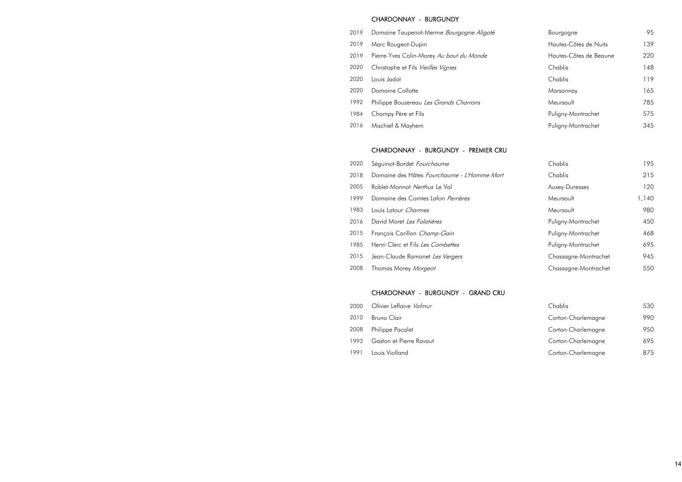#### CHARDONNAY - BURGUNDY

- 2019 Domaine Taupenot-Merme Bourgogne Aligoté
- 2019 Marc Rougeot-Dupin
- 2019 Pierre-Yves Colin-Morey Au bout du Monde
- 2020 Christophe et Fils Vieilles Vignes
- 
- 2020 Domaine Collotte
- 1992 Philippe Bouzereau Les Grands Charrons
- 1984 Champy Père et Fils
- 2016 Mischief & Mayhem

| 2019 | Domaine Taupenot-Merme Bourgogne Aligoté | Bourgogne              | 95  |
|------|------------------------------------------|------------------------|-----|
| 2019 | Marc Rougeot-Dupin                       | Hautes-Côtes de Nuits  | 139 |
| 2019 | Pierre-Yves Colin-Morey Au bout du Monde | Hautes-Côtes de Beaune | 220 |
| 2020 | Christophe et Fils Vieilles Vignes       | Chablis                | 148 |
| 2020 | Louis Jadot                              | Chablis                | 119 |
| 2020 | <b>Domaine Collotte</b>                  | Marsannay              | 165 |
| 1992 | Philippe Bouzereau Les Grands Charrons   | Meursault              | 785 |
| 1984 | Champy Père et Fils                      | Puligny-Montrachet     | 575 |
| 2016 | Mischief & Mayhem                        | Puligny-Montrachet     | 345 |

| Chablis              | 195   |
|----------------------|-------|
| Chablis              | 215   |
| Auxey-Duresses       | 120   |
| Meursault            | 1,140 |
| Meursault            | 980   |
| Puligny-Montrachet   | 450   |
| Puligny-Montrachet   | 468   |
| Puligny-Montrachet   | 695   |
| Chassagne-Montrachet | 945   |
| Chassagne-Montrachet | 550   |

| Chablis            | 530 |
|--------------------|-----|
| Corton-Charlemagne | 990 |
| Corton-Charlemagne | 950 |
| Corton-Charlemagne | 695 |
| Corton-Charlemagne | 875 |

#### CHARDONNAY - BURGUNDY - PREMIER CRU

- 2020 Séguinot-Bordet Fourchaume
- 2018 Domaine des Hâtes Fourchaume L'Homme Mort
- 2005 Roblet-Monnot Nerthus Le Val
- 1999 Domaine des Comtes Lafon Perrières
- 1983 Louis Latour Charmes
- 2016 David Moret Les Folatières
- 2015 François Carillon Champ-Gain
- 1985 Henri Clerc et Fils Les Combettes
- 2015 Jean-Claude Ramonet Les Vergers
- 2008 Thomas Morey Morgeot

#### CHARDONNAY - BURGUNDY - GRAND CRU

- 2000 Olivier Leflaive Valmur
- 2010 Bruno Clair
- 2008 Philippe Pacalet
- 1993 Gaston et Pierre Ravaut
- 1991 Louis Violland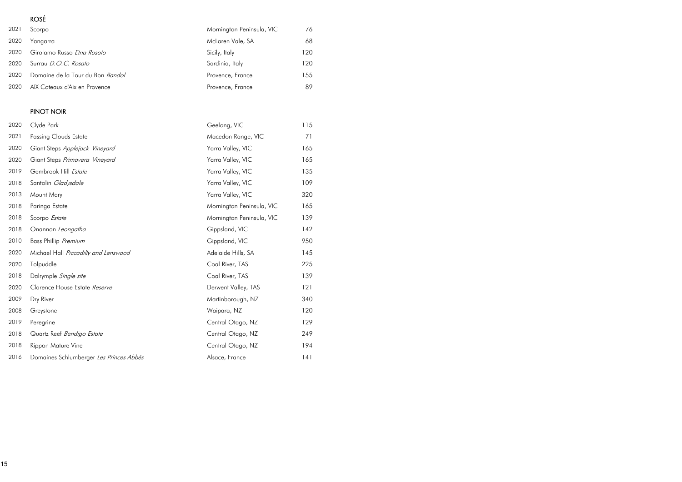# ROSÉ

| 2021 | Scorpo                            | Mornington Peninsula, VIC | 76   |
|------|-----------------------------------|---------------------------|------|
| 2020 | Yangarra                          | McLaren Vale, SA          | 68   |
| 2020 | Girolamo Russo <i>Etna Rosato</i> | Sicily, Italy             | 120  |
| 2020 | Surrau D.O.C. Rosato              | Sardinia, Italy           | 120  |
| 2020 | Domaine de la Tour du Bon Bandol  | Provence, France          | 155. |
| 2020 | AIX Coteaux d'Aix en Provence     | Provence, France          | 89   |

# PINOT NOIR

| 2020 | Clyde Park                              | Geelong, VIC              | 115 |
|------|-----------------------------------------|---------------------------|-----|
| 2021 | <b>Passing Clouds Estate</b>            | Macedon Range, VIC        | 71  |
| 2020 | Giant Steps Applejack Vineyard          | Yarra Valley, VIC         | 165 |
| 2020 | Giant Steps Primavera Vineyard          | Yarra Valley, VIC         | 165 |
| 2019 | Gembrook Hill Estate                    | Yarra Valley, VIC         | 135 |
| 2018 | Santolin Gladysdale                     | Yarra Valley, VIC         | 109 |
| 2013 | Mount Mary                              | Yarra Valley, VIC         | 320 |
| 2018 | Paringa Estate                          | Mornington Peninsula, VIC | 165 |
| 2018 | Scorpo Estate                           | Mornington Peninsula, VIC | 139 |
| 2018 | Onannon Leongatha                       | Gippsland, VIC            | 142 |
| 2010 | Bass Phillip Premium                    | Gippsland, VIC            | 950 |
| 2020 | Michael Hall Piccadilly and Lenswood    | Adelaide Hills, SA        | 145 |
| 2020 | Tolpuddle                               | Coal River, TAS           | 225 |
| 2018 | Dalrymple Single site                   | Coal River, TAS           | 139 |
| 2020 | Clarence House Estate Reserve           | Derwent Valley, TAS       | 121 |
| 2009 | Dry River                               | Martinborough, NZ         | 340 |
| 2008 | Greystone                               | Waipara, NZ               | 120 |
| 2019 | Peregrine                               | Central Otago, NZ         | 129 |
| 2018 | Quartz Reef Bendigo Estate              | Central Otago, NZ         | 249 |
| 2018 | Rippon Mature Vine                      | Central Otago, NZ         | 194 |
| 2016 | Domaines Schlumberger Les Princes Abbés | Alsace, France            | 141 |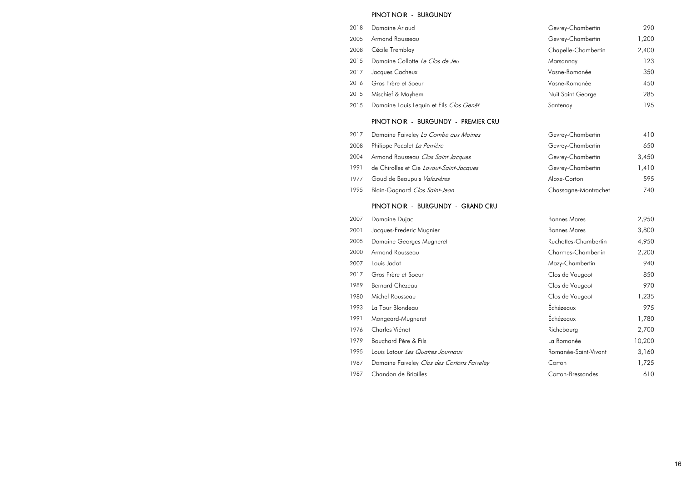#### PINOT NOIR - BURGUNDY

- 2018 Domaine Arlaud
- 2005 Armand Rousseau
- 2008 Cécile Tremblay
- 2015 Domaine Collotte Le Clos de Jeu
- 2017 Jacques Cacheux
- 2016 Gros Frère et Soeur
- 2015 Mischief & Mayhem
- 2015 Domaine Louis Lequin et Fils Clos Genêt

#### PINOT NOIR - BURGUNDY - PREMIER CRU

- 2017 Domaine Faiveley La Combe aux Moines
- 2008 Philippe Pacalet La Perrière
- 2004 Armand Rousseau Clos Saint Jacques
- 1991 de Chirolles et Cie Lavaut-Saint-Jacques
- 1977 Goud de Beaupuis Valozières
- 1995 Blain-Gagnard Clos Saint-Jean

#### PINOT NOIR - BURGUNDY - GRAND CRU

|      | 007 Domaine Dujac       |
|------|-------------------------|
| ו 00 | Jacques-Frederic Mugnie |

- 2005 Domaine Georges Mugneret
- 2000 Armand Rousseau
- 
- 2017 Gros Frère et Soeur
- 1989 Bernard Chezeau
- 1980 Michel Rousseau
- 1993 La Tour Blondeau
- 1991 Mongeard-Mugneret
- 1976 Charles Viénot
- 1979 Bouchard Père & Fils
- 1995 Louis Latour Les Quatres Journaux
- 1987 Domaine Faiveley Clos des Cortons Faiveley
- 1987 Chandon de Briailles

| Gevrey-Chambertin   | 290   |
|---------------------|-------|
| Gevrey-Chambertin   | 1,200 |
| Chapelle-Chambertin | 2,400 |
| Marsannay           | 123   |
| Vosne-Romanée       | 350   |
| Vosne-Romanée       | 450   |
| Nuit Saint George   | 285   |
| Santenay            | 195   |

| Gevrey-Chambertin    | 410   |
|----------------------|-------|
| Gevrey-Chambertin    | 650   |
| Gevrey-Chambertin    | 3,450 |
| Gevrey-Chambertin    | 1,410 |
| Aloxe-Corton         | 595   |
| Chassagne-Montrachet | 740   |

| 2007 | Domaine Dujac                              | <b>Bonnes Mares</b>  | 2,950  |
|------|--------------------------------------------|----------------------|--------|
| 2001 | Jacques-Frederic Mugnier                   | <b>Bonnes Mares</b>  | 3,800  |
| 2005 | Domaine Georges Mugneret                   | Ruchottes-Chambertin | 4,950  |
| 2000 | Armand Rousseau                            | Charmes-Chambertin   | 2,200  |
| 2007 | Louis Jadot                                | Mazy-Chambertin      | 940    |
| 2017 | Gros Frère et Soeur                        | Clos de Vougeot      | 850    |
| 1989 | <b>Bernard Chezeau</b>                     | Clos de Vougeot      | 970    |
| 1980 | Michel Rousseau                            | Clos de Vougeot      | 1,235  |
| 1993 | La Tour Blondeau                           | Échézeaux            | 975    |
| 1991 | Mongeard-Mugneret                          | Échézeaux            | 1,780  |
| 1976 | Charles Viénot                             | Richebourg           | 2,700  |
| 1979 | Bouchard Père & Fils                       | La Romanée           | 10,200 |
| 1995 | Louis Latour Les Quatres Journaux          | Romanée-Saint-Vivant | 3,160  |
| 1987 | Domaine Faiveley Clos des Cortons Faiveley | Corton               | 1,725  |
| 1987 | Chandon de Briailles                       | Corton-Bressandes    | 610    |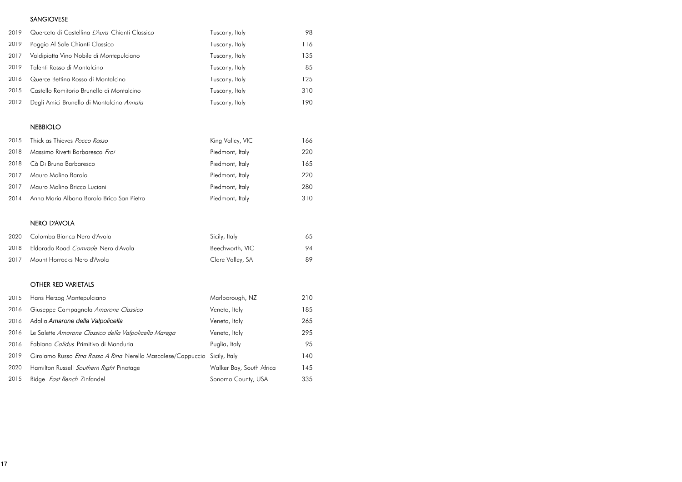# SANGIOVESE

| 2019 | Querceto di Castellina L'Aura Chianti Classico | Tuscany, Italy | 98  |
|------|------------------------------------------------|----------------|-----|
| 2019 | Poggio Al Sole Chianti Classico                | Tuscany, Italy | 116 |
| 2017 | Valdipiatta Vino Nobile di Montepulciano       | Tuscany, Italy | 135 |
| 2019 | Talenti Rosso di Montalcino                    | Tuscany, Italy | 85  |
| 2016 | Querce Betting Rosso di Montalcino             | Tuscany, Italy | 125 |
| 2015 | Castello Romitorio Brunello di Montalcino      | Tuscany, Italy | 310 |
| 2012 | Degli Amici Brunello di Montalcino Annata      | Tuscany, Italy | 190 |

# NEBBIOLO

| 2015 | Thick as Thieves <i>Pocco Rosso</i>       | King Valley, VIC | 166 |
|------|-------------------------------------------|------------------|-----|
| 2018 | Massimo Rivetti Barbaresco Froi           | Piedmont, Italy  | 220 |
| 2018 | Cà Di Bruno Barbaresco                    | Piedmont, Italy  | 165 |
| 2017 | Mauro Molino Barolo                       | Piedmont, Italy  | 220 |
| 2017 | Mauro Molino Bricco Luciani               | Piedmont, Italy  | 280 |
| 2014 | Anna Maria Albona Barolo Brico San Pietro | Piedmont, Italy  | 310 |

# NERO D'AVOLA

|      | 2020 Colomba Bianca Nero d'Avola          | Sicily, Italy    | 65 |
|------|-------------------------------------------|------------------|----|
| 2018 | Eldorado Road <i>Comrade</i> Nero d'Avola | Beechworth, VIC  | 94 |
| 2017 | Mount Horrocks Nero d'Avola               | Clare Valley, SA | 89 |

## OTHER RED VARIETALS

| 2015 | Hans Herzog Montepulciano                                                         | Marlborough, NZ          | 210 |
|------|-----------------------------------------------------------------------------------|--------------------------|-----|
| 2016 | Giuseppe Campagnola Amarone Classico                                              | Veneto, Italy            | 185 |
| 2016 | Adalia Amarone della Valpolicella                                                 | Veneto, Italy            | 265 |
| 2016 | Le Salette Amarone Classico della Valpolicella Marega                             | Veneto, Italy            | 295 |
| 2016 | Fabiana Calidus Primitivo di Manduria                                             | Puglia, Italy            | 95  |
| 2019 | Girolamo Russo <i>Etna Rosso A Rina</i> Nerello Mascalese/Cappuccio Sicily, Italy |                          | 140 |
| 2020 | Hamilton Russell Southern Right Pinotage                                          | Walker Bay, South Africa | 145 |
| 2015 | Ridge <i>East Bench</i> Zinfandel                                                 | Sonoma County, USA       | 335 |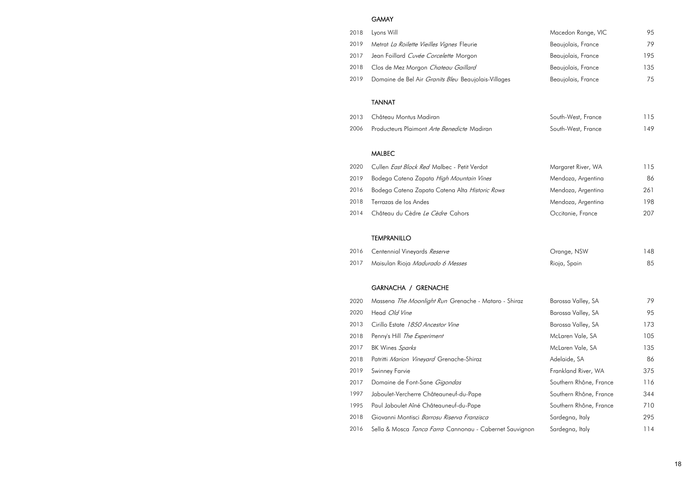#### GAMAY

- 
- 2019 Metrat La Roilette Vieilles Vignes Fleurie
- 2017 Jean Foillard Cuvée Corcelette Morgon
- 2018 Clos de Mez Morgon Chateau Gaillard
- 2019 Domaine de Bel Air Granits Bleu Beaujolais-Villages

| 2018 | Lyons Will                                                     | Macedon Range, VIC     | 95  |
|------|----------------------------------------------------------------|------------------------|-----|
| 2019 | Metrat La Roilette Vieilles Vignes Fleurie                     | Beaujolais, France     | 79  |
| 2017 | Jean Foillard Cuvée Corcelette Morgon                          | Beaujolais, France     | 195 |
| 2018 | Clos de Mez Morgon Chateau Gaillard                            | Beaujolais, France     | 135 |
| 2019 | Domaine de Bel Air <i>Granits Bleu</i> Beaujolais-Villages     | Beaujolais, France     | 75  |
|      | <b>TANNAT</b>                                                  |                        |     |
| 2013 | Château Montus Madiran                                         | South-West, France     | 115 |
| 2006 | Producteurs Plaimont Arte Benedicte Madiran                    | South-West, France     | 149 |
|      | <b>MALBEC</b>                                                  |                        |     |
| 2020 | Cullen <i>East Block Red</i> Malbec - Petit Verdot             | Margaret River, WA     | 115 |
| 2019 | Bodega Catena Zapata High Mountain Vines                       | Mendoza, Argentina     | 86  |
| 2016 | Bodega Catena Zapata Catena Alta Historic Rows                 | Mendoza, Argentina     | 261 |
| 2018 | Terrazas de los Andes                                          | Mendoza, Argentina     | 198 |
| 2014 | Château du Cèdre Le Cèdre Cahors                               | Occitanie, France      | 207 |
|      | <b>TEMPRANILLO</b>                                             |                        |     |
| 2016 | Centennial Vineyards Reserve                                   | Orange, NSW            | 148 |
| 2017 | Maisulan Rioja Madurado 6 Messes                               | Rioja, Spain           | 85  |
|      | GARNACHA / GRENACHE                                            |                        |     |
| 2020 | Massena The Moonlight Run Grenache - Mataro - Shiraz           | Barossa Valley, SA     | 79  |
| 2020 | Head Old Vine                                                  | Barossa Valley, SA     | 95  |
| 2013 | Cirillo Estate 1850 Ancestor Vine                              | Barossa Valley, SA     | 173 |
| 2018 | Penny's Hill The Experiment                                    | McLaren Vale, SA       | 105 |
| 2017 | BK Wines Sparks                                                | McLaren Vale, SA       | 135 |
| 2018 | Patritti Marion Vineyard Grenache-Shiraz                       | Adelaide, SA           | 86  |
| 2019 | Swinney Farvie                                                 | Frankland River, WA    | 375 |
| 2017 | Domaine de Font-Sane Gigondas                                  | Southern Rhône, France | 116 |
| 1997 | Jaboulet-Vercherre Châteauneuf-du-Pape                         | Southern Rhône, France | 344 |
| 1995 | Paul Jaboulet Aîné Châteauneuf-du-Pape                         | Southern Rhône, France | 710 |
| 2018 | Giovanni Montisci Barrosu Riserva Franzisca                    | Sardegna, Italy        | 295 |
| 2016 | Sella & Mosca <i>Tanca Farra</i> Cannonau - Cabernet Sauvignon | Sardegna, Italy        | 114 |

#### TANNAT

- 2013 Château Montus Madiran
- 2006 Producteurs Plaimont Arte Benedicte Madiran

#### MALBEC

- 2020 Cullen *East Block Red M*albec Petit Verdot
- 2019 Bodega Catena Zapata High Mountain Vines
- 2016 Bodega Catena Zapata Catena Alta Historic Rows
- 2018 Terrazas de los Andes
- 2014 Château du Cèdre Le Cèdre Cahors

#### TEMPRANILLO

- 2016 Centennial Vineyards Reserve
- 2017 Maisulan Rioja Madurado 6 Messes

#### GARNACHA / GRENACHE

- 2020 Massena The Moonlight Run Grenache Mataro Shiraz
- 2020 Head Old Vine
- 2013 Cirillo Estate 1850 Ancestor Vine
- 2018 Penny's Hill The Experiment
- 2017 BK Wines Sparks
- 2018 Patritti Marion Vineyard Grenache-Shiraz
- 2019 Swinney Farvie
- 2017 Domaine de Font-Sane Gigondas
- 1997 Jaboulet-Vercherre Châteauneuf-du-Pape
- 1995 Paul Jaboulet Aîné Châteauneuf-du-Pape
- 2018 Giovanni Montisci Barrosu Riserva Franzisca
- 2016 Sella & Mosca *Tanca Farra* Cannonau Cabernet Sauvignon Sardegna, Italy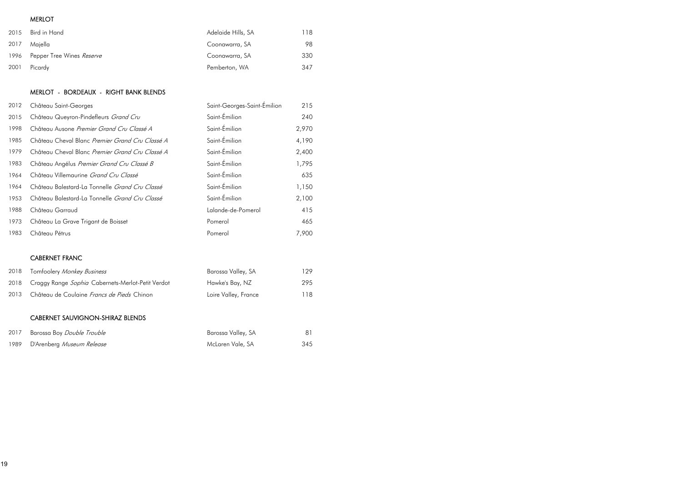## MERLOT

| 2015 | Bird in Hand                   | Adelaide Hills, SA | 118 |
|------|--------------------------------|--------------------|-----|
| 2017 | Majella                        | Coonawarra, SA     | 98  |
|      | 1996 Pepper Tree Wines Reserve | Coonawarra, SA     | 330 |
| 2001 | Picardy                        | Pemberton, WA      | 347 |

# MERLOT - BORDEAUX - RIGHT BANK BLENDS

| 2012 | Château Saint-Georges                           | Saint-Georges-Saint-Emilion | 215   |
|------|-------------------------------------------------|-----------------------------|-------|
| 2015 | Château Queyron-Pindefleurs Grand Cru           | Saint-Émilion               | 240   |
| 1998 | Château Ausone Premier Grand Cru Classé A       | Saint-Émilion               | 2,970 |
| 1985 | Château Cheval Blanc Premier Grand Cru Classé A | Saint-Émilion               | 4,190 |
| 1979 | Château Cheval Blanc Premier Grand Cru Classé A | Saint-Émilion               | 2,400 |
| 1983 | Château Angélus Premier Grand Cru Classé B      | Saint-Émilion               | 1,795 |
| 1964 | Château Villemaurine Grand Cru Classé           | Saint-Émilion               | 635   |
| 1964 | Château Balestard-La Tonnelle Grand Cru Classé  | Saint-Émilion               | 1,150 |
| 1953 | Château Balestard-La Tonnelle Grand Cru Classé  | Saint-Émilion               | 2,100 |
| 1988 | Château Garraud                                 | Lalande-de-Pomerol          | 415   |
| 1973 | Château La Grave Trigant de Boisset             | Pomerol                     | 465   |
| 1983 | Château Pétrus                                  | Pomerol                     | 7,900 |
|      |                                                 |                             |       |
|      | <b>CABERNET FRANC</b>                           |                             |       |

| 2018 | Tomfoolery <i>Monkey Business</i>                      | Barossa Valley, SA   | 129 |
|------|--------------------------------------------------------|----------------------|-----|
|      | 2018 Craggy Range Sophia Cabernets-Merlot-Petit Verdot | Hawke's Bay, NZ      | 295 |
| 2013 | Château de Coulaine Francs de Pieds Chinon             | Loire Valley, France | 18  |

## CABERNET SAUVIGNON-SHIRAZ BLENDS

| 2017 | Barossa Boy <i>Double Trouble</i> | Barossa Valley, SA |     |
|------|-----------------------------------|--------------------|-----|
| 1989 | D'Arenberg <i>Museum Release</i>  | McLaren Vale, SA   | 345 |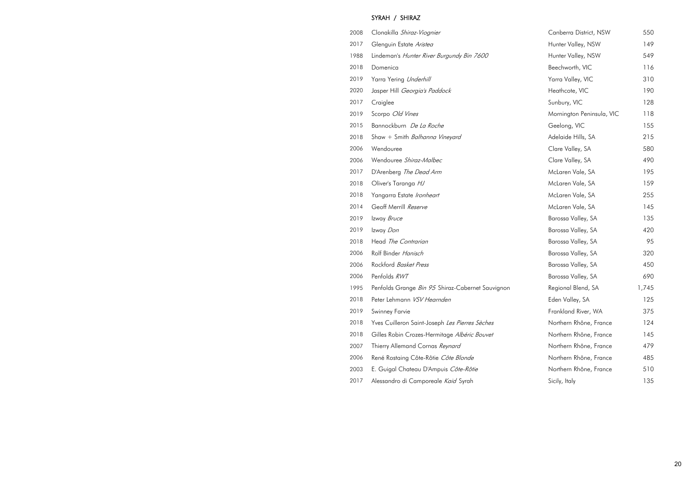# SYRAH / SHIRAZ

| 2008 | Clonakilla Shiraz-Viognier                | Canberra District, NSW    | 550 |
|------|-------------------------------------------|---------------------------|-----|
| 2017 | Glenguin Estate Aristea                   | Hunter Valley, NSW        | 149 |
| 1988 | Lindeman's Hunter River Burgundy Bin 7600 | Hunter Valley, NSW        | 549 |
| 2018 | Domenica                                  | Beechworth, VIC           | 116 |
| 2019 | Yarra Yering Underhill                    | Yarra Valley, VIC         | 310 |
| 2020 | Jasper Hill Georgia's Paddock             | Heathcote, VIC            | 190 |
| 2017 | Craiglee                                  | Sunbury, VIC              | 128 |
| 2019 | Scorpo Old Vines                          | Mornington Peninsula, VIC | 118 |
| 2015 | Bannockburn De La Roche                   | Geelong, VIC              | 155 |
| 2018 | Shaw + Smith Balhanna Vineyard            | Adelaide Hills, SA        | 215 |
| 2006 | Wendouree                                 | Clare Valley, SA          | 580 |
| 2006 | Wendouree Shiraz-Malbec                   | Clare Valley, SA          | 490 |
| 2017 | D'Arenberg The Dead Arm                   | McLaren Vale, SA          | 195 |
| 2018 | Oliver's Taranga HJ                       | McLaren Vale, SA          | 159 |
| 2018 | Yangarra Estate Ironheart                 | McLaren Vale, SA          | 255 |
| 2014 | Geoff Merrill Reserve                     | McLaren Vale, SA          | 145 |
| 2019 | Izway Bruce                               | Barossa Valley, SA        | 135 |
| 2019 | Izway Don                                 | Barossa Valley, SA        | 420 |
| 2018 | Head The Contrarian                       | Barossa Valley, SA        | 95  |
| 2006 | Rolf Binder Hanisch                       | Barossa Valley, SA        | 320 |

- 2006 Rockford Basket Press
- 2006 Penfolds RWT
- 1995 Penfolds Grange Bin 95 Shiraz-Cabernet Sauvignon
- 2018 Peter Lehmann VSV Hearnden
- 2019 Swinney Farvie
- 2018 Yves Cuilleron Saint-Joseph Les Pierres Sèches
- 2018 Gilles Robin Crozes-Hermitage Albéric Bouvet
- 2007 Thierry Allemand Cornas Reynard
- 2006 René Rostaing Côte-Rôtie Côte Blonde
- 2003 E. Guigal Chateau D'Ampuis Côte-Rôtie
- 2017 Alessandro di Camporeale Kaid Syrah

| Canberra District, NSW    | 550   |
|---------------------------|-------|
| Hunter Valley, NSW        | 149   |
| Hunter Valley, NSW        | 549   |
| Beechworth, VIC           | 116   |
| Yarra Valley, VIC         | 310   |
| Heathcote, VIC            | 190   |
| Sunbury, VIC              | 128   |
| Mornington Peninsula, VIC | 118   |
| Geelong, VIC              | 155   |
| Adelaide Hills, SA        | 215   |
| Clare Valley, SA          | 580   |
| Clare Valley, SA          | 490   |
| McLaren Vale, SA          | 195   |
| McLaren Vale, SA          | 159   |
| McLaren Vale, SA          | 255   |
| McLaren Vale, SA          | 145   |
| Barossa Valley, SA        | 135   |
| Barossa Valley, SA        | 420   |
| Barossa Valley, SA        | 95    |
| Barossa Valley, SA        | 320   |
| Barossa Valley, SA        | 450   |
| Barossa Valley, SA        | 690   |
| Regional Blend, SA        | 1,745 |
| Eden Valley, SA           | 125   |
| Frankland River, WA       | 375   |
| Northern Rhône, France    | 124   |
| Northern Rhône, France    | 145   |
| Northern Rhône, France    | 479   |
| Northern Rhône, France    | 485   |
| Northern Rhône, France    | 510   |
| Sicily, Italy             | 135   |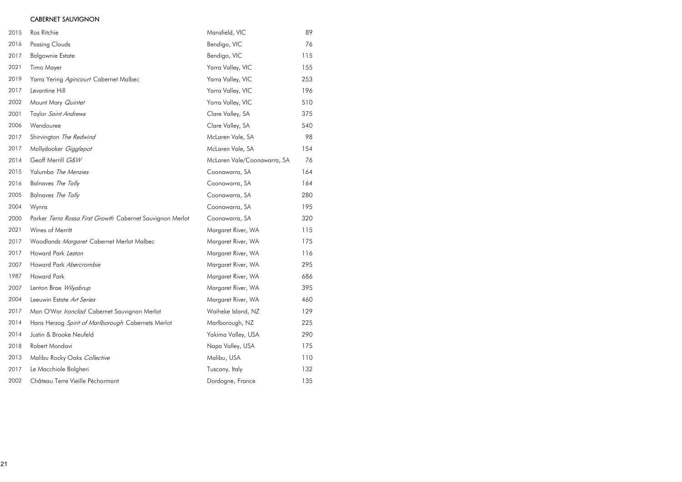## CABERNET SAUVIGNON

| 2015 | Ros Ritchie                                               | Mansfield, VIC              | 89  |
|------|-----------------------------------------------------------|-----------------------------|-----|
| 2016 | <b>Passing Clouds</b>                                     | Bendigo, VIC                | 76  |
| 2017 | <b>Balgownie Estate</b>                                   | Bendigo, VIC                | 115 |
| 2021 | Timo Mayer                                                | Yarra Valley, VIC           | 155 |
| 2019 | Yarra Yering Agincourt Cabernet Malbec                    | Yarra Valley, VIC           | 253 |
| 2017 | Levantine Hill                                            | Yarra Valley, VIC           | 196 |
| 2002 | Mount Mary Quintet                                        | Yarra Valley, VIC           | 510 |
| 2001 | Taylor Saint Andrews                                      | Clare Valley, SA            | 375 |
| 2006 | Wendouree                                                 | Clare Valley, SA            | 540 |
| 2017 | Shirvington The Redwind                                   | McLaren Vale, SA            | 98  |
| 2017 | Mollydooker Gigglepot                                     | McLaren Vale, SA            | 154 |
| 2014 | Geoff Merrill G&W                                         | McLaren Vale/Coonawarra, SA | 76  |
| 2015 | Yalumba The Menzies                                       | Coonawarra, SA              | 164 |
| 2016 | Balnaves The Tally                                        | Coonawarra, SA              | 164 |
| 2005 | Balnaves The Tally                                        | Coonawarra, SA              | 280 |
| 2004 | Wynns                                                     | Coonawarra, SA              | 195 |
| 2000 | Parker Terra Rossa First Growth Cabernet Sauvignon Merlot | Coonawarra, SA              | 320 |
| 2021 | Wines of Merritt                                          | Margaret River, WA          | 115 |
| 2017 | Woodlands Margaret Cabernet Merlot Malbec                 | Margaret River, WA          | 175 |
| 2017 | Howard Park Leston                                        | Margaret River, WA          | 116 |
| 2007 | Howard Park Abercrombie                                   | Margaret River, WA          | 295 |
| 1987 | <b>Howard Park</b>                                        | Margaret River, WA          | 686 |
| 2007 | Lenton Brae Wilyabrup                                     | Margaret River, WA          | 395 |
| 2004 | Leeuwin Estate Art Series                                 | Margaret River, WA          | 460 |
| 2017 | Man O'War Ironclad Cabernet Sauvignon Merlot              | Waiheke Island, NZ          | 129 |
| 2014 | Hans Herzog Spirit of Marlborough Cabernets Merlot        | Marlborough, NZ             | 225 |
| 2014 | Justin & Brooke Neufeld                                   | Yakima Valley, USA          | 290 |
| 2018 | Robert Mondavi                                            | Napa Valley, USA            | 175 |
| 2013 | Malibu Rocky Oaks Collective                              | Malibu, USA                 | 110 |
| 2017 | Le Macchiole Bolgheri                                     | Tuscany, Italy              | 132 |
| 2002 | Château Terre Vieille Pécharmant                          | Dordogne, France            | 135 |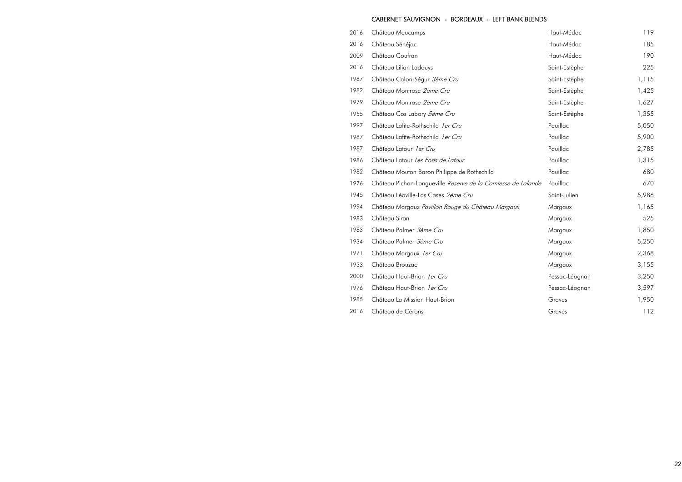#### CABERNET SAUVIGNON - BORDEAUX - LEFT BANK BLENDS

- 2016 Château Maucamps
- 2016 Château Sénéjac
- 2009 Château Coufran
- 2016 Château Lilian Ladouys
- 1987 Château Calon-Ségur 3ème Cru
- 1982 Château Montrose 2ème Cru
- 1979 Château Montrose 2ème Cru
- 1955 Château Cos Labory 5ème Cru
- 1997 Château Lafite-Rothschild 1er Cru
- 1987 Château Lafite-Rothschild 1er Cru
- 1987 Château Latour 1 er Cru
- 1986 Château Latour Les Forts de Latour
- 1982 Château Mouton Baron Philippe de Rothschild
- 1976 Château Pichon-Longueville Reserve de la Comtesse de
- 1945 Château Léoville-Las Cases 2ème Cru
- 1994 Château Margaux Pavillon Rouge du Château Margau
- 1983 Château Siran
- 1983 Château Palmer 3ème Cru
- 1934 Château Palmer 3ème Cru
- 1971 Château Margaux 1er Cru
- 1933 Château Brouzac
- 2000 Château Haut-Brion 1er Cru
- 1976 Château Haut-Brion 1er Cru
- 1985 Château La Mission Haut-Brion
- 2016 Château de Cérons

|            | Haut-Médoc     | 119   |
|------------|----------------|-------|
|            | Haut-Médoc     | 185   |
|            | Haut-Médoc     | 190   |
|            | Saint-Estèphe  | 225   |
|            | Saint-Estèphe  | 1,115 |
|            | Saint-Estèphe  | 1,425 |
|            | Saint-Estèphe  | 1,627 |
|            | Saint-Estèphe  | 1,355 |
|            | Pauillac       | 5,050 |
|            | Pauillac       | 5,900 |
|            | Pauillac       | 2,785 |
|            | Pauillac       | 1,315 |
|            | Pauillac       | 680   |
| le Lalande | Pauillac       | 670   |
|            | Saint-Julien   | 5,986 |
| JX         | Margaux        | 1,165 |
|            | Margaux        | 525   |
|            | Margaux        | 1,850 |
|            | Margaux        | 5,250 |
|            | Margaux        | 2,368 |
|            | Margaux        | 3,155 |
|            | Pessac-Léognan | 3,250 |
|            | Pessac-Léognan | 3,597 |
|            | Graves         | 1,950 |
|            | Graves         | 112   |
|            |                |       |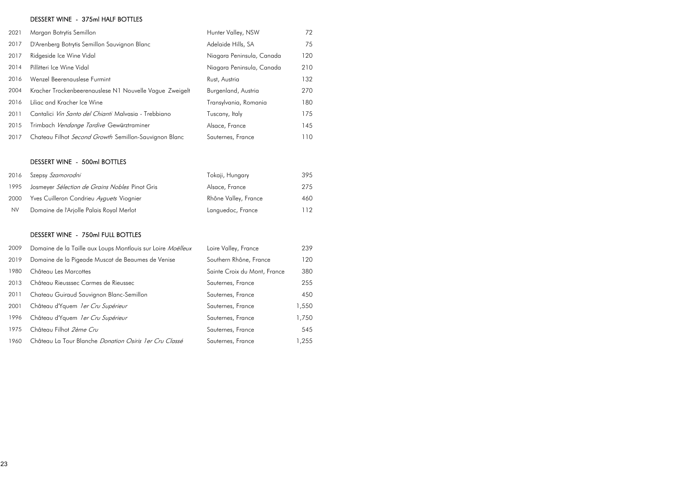# DESSERT WINE - 375ml HALF BOTTLES

| 2021 | Margan Botrytis Semillon                                | Hunter Valley, NSW        | 72  |
|------|---------------------------------------------------------|---------------------------|-----|
| 2017 | D'Arenberg Botrytis Semillon Sauvignon Blanc            | Adelaide Hills, SA        | 75  |
| 2017 | Ridgeside Ice Wine Vidal                                | Niagara Peninsula, Canada | 120 |
| 2014 | Pillitteri Ice Wine Vidal                               | Niagara Peninsula, Canada | 210 |
| 2016 | Wenzel Beerenauslese Furmint                            | Rust, Austria             | 132 |
| 2004 | Kracher Trockenbeerenauslese N1 Nouvelle Vague Zweigelt | Burgenland, Austria       | 270 |
| 2016 | Liliac and Kracher Ice Wine                             | Transylvania, Romania     | 180 |
| 2011 | Cantalici Vin Santo del Chianti Malvasia - Trebbiano    | Tuscany, Italy            | 175 |
| 2015 | Trimbach Vendange Tardive Gewürztraminer                | Alsace, France            | 145 |
| 2017 | Chateau Filhot Second Growth Semillon-Sauvignon Blanc   | Sauternes, France         | 110 |

## DESSERT WINE - 500ml BOTTLES

|           | 2016 Szepsy Szamorodni                         | Tokaji, Hungary      | 395 |
|-----------|------------------------------------------------|----------------------|-----|
| 1995      | Josmeyer Sélection de Grains Nobles Pinot Gris | Alsace, France       | 275 |
| 2000      | Yves Cuilleron Condrieu Ayquets Viognier       | Rhône Valley, France | 460 |
| <b>NV</b> | Domaine de l'Arjolle Palais Royal Merlot       | Languedoc, France    | 112 |

## DESSERT WINE - 750ml FULL BOTTLES

| 2009 | Domaine de la Taille aux Loups Montlouis sur Loire Moëlleux | Loire Valley, France         | 239    |
|------|-------------------------------------------------------------|------------------------------|--------|
| 2019 | Domaine de la Pigeade Muscat de Beaumes de Venise           | Southern Rhône, France       | 120    |
| 1980 | Château Les Marcottes                                       | Sainte Croix du Mont, France | 380    |
| 2013 | Château Rieusssec Carmes de Rieussec                        | Sauternes, France            | 255    |
| 2011 | Chateau Guiraud Sauvignon Blanc-Semillon                    | Sauternes, France            | 450    |
| 2001 | Château d'Yquem ler Cru Supérieur                           | Sauternes, France            | 1,550  |
| 1996 | Château d'Yquem <i>ler Cru Supérieur</i>                    | Sauternes, France            | 1,750  |
| 1975 | Château Filhot 2ème Cru                                     | Sauternes, France            | 545    |
| 1960 | Château La Tour Blanche Donation Osiris 1 er Cru Classé     | Sauternes, France            | 255, ا |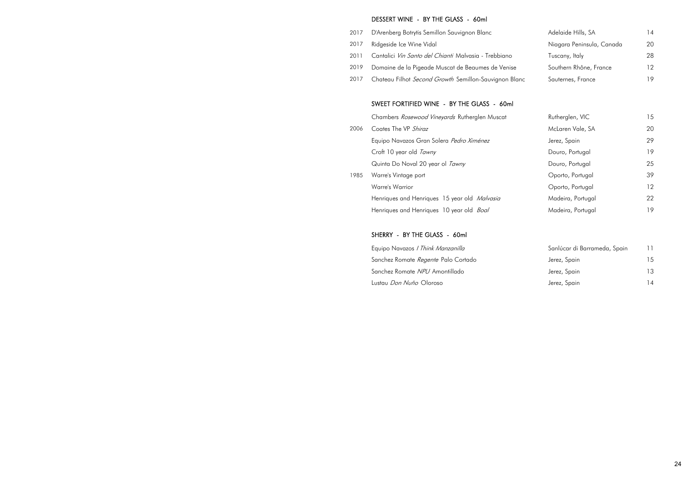#### DESSERT WINE - BY THE GLASS - 60ml

- 2017 D'Arenberg Botrytis Semillon Sauvignon Blanc
- 2017 Ridgeside Ice Wine Vidal
- 2011 Cantalici Vin Santo del Chianti Malvasia Trebbiano
- 2019 Domaine de la Pigeade Muscat de Beaumes de Venise
- 2017 Chateau Filhot Second Growth Semillon-Sauvignon Blanc

#### SWEET FORTIFIED WINE - BY THE GLASS - 60ml

Chambers Rosewood Vineyards Rutherglen Muscat

- 2006 Coates The VP Shiraz Equipo Navazos Gran Solera Pedro Ximénez Croft 10 year old Tawny Quinta Do Noval 20 year ol Tawny
- 1985 Warre's Vintage port Warre's Warrior Henriques and Henriques 15 year old Malvasia

Henriques and Henriques 10 year old Boal

#### SHERRY - BY THE GLASS - 60ml

Equipo Navazos / Think Manzanilla Sanchez Romate *Regente* Palo Cortado Sanchez Romate NPU Amontillado Lustau *Don Nuño* Oloroso

| Adelaide Hills, SA        | 14 |
|---------------------------|----|
| Niagara Peninsula, Canada | 20 |
| Tuscany, Italy            | 28 |
| Southern Rhône, France    | 12 |
| Sauternes, France         |    |

| Rutherglen, VIC   | 15 |
|-------------------|----|
| McLaren Vale, SA  | 20 |
| Jerez, Spain      | 29 |
| Douro, Portugal   | 19 |
| Douro, Portugal   | 25 |
| Oporto, Portugal  | 39 |
| Oporto, Portugal  | 12 |
| Madeira, Portugal | 22 |
| Madeira, Portugal | 19 |

| Sanlúcar di Barrameda, Spain | 11 |
|------------------------------|----|
| Jerez, Spain                 | 15 |
| Jerez, Spain                 | 13 |
| Jerez, Spain                 | 14 |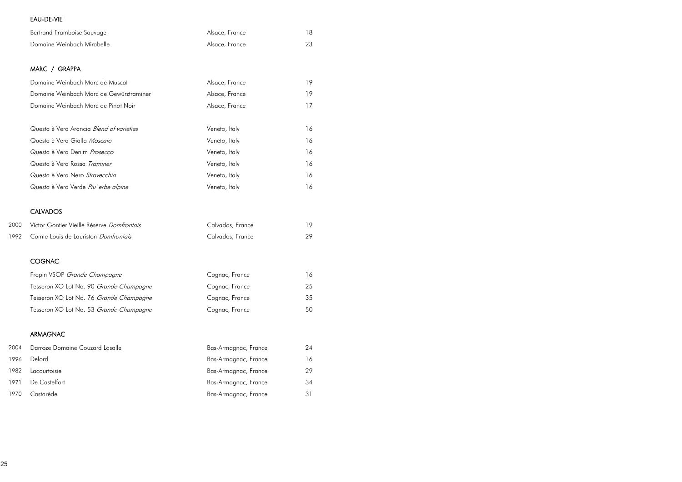# EAU-DE-VIE

|      | Bertrand Framboise Sauvage                 | Alsace, France       | 18 |
|------|--------------------------------------------|----------------------|----|
|      | Domaine Weinbach Mirabelle                 | Alsace, France       | 23 |
|      |                                            |                      |    |
|      | MARC / GRAPPA                              |                      |    |
|      | Domaine Weinbach Marc de Muscat            | Alsace, France       | 19 |
|      | Domaine Weinbach Marc de Gewürztraminer    | Alsace, France       | 19 |
|      | Domaine Weinbach Marc de Pinot Noir        | Alsace, France       | 17 |
|      | Questa è Vera Arancia Blend of varieties   | Veneto, Italy        | 16 |
|      | Questa è Vera Gialla Moscato               | Veneto, Italy        | 16 |
|      | Questa è Vera Denim Prosecco               | Veneto, Italy        | 16 |
|      | Questa è Vera Rossa Traminer               | Veneto, Italy        | 16 |
|      | Questa è Vera Nero Stravecchia             | Veneto, Italy        | 16 |
|      | Questa è Vera Verde Piu' erbe alpine       | Veneto, Italy        | 16 |
|      | <b>CALVADOS</b>                            |                      |    |
| 2000 | Victor Gontier Vieille Réserve Domfrontais | Calvados, France     | 19 |
| 1992 | Comte Louis de Lauriston Domfrontais       | Calvados, France     | 29 |
|      | <b>COGNAC</b>                              |                      |    |
|      | Frapin VSOP Grande Champagne               | Cognac, France       | 16 |
|      | Tesseron XO Lot No. 90 Grande Champagne    | Cognac, France       | 25 |
|      | Tesseron XO Lot No. 76 Grande Champagne    | Cognac, France       | 35 |
|      | Tesseron XO Lot No. 53 Grande Champagne    | Cognac, France       | 50 |
|      | <b>ARMAGNAC</b>                            |                      |    |
| 2004 | Darroze Domaine Couzard Lasalle            | Bas-Armagnac, France | 24 |
| 1996 | Delord                                     | Bas-Armagnac, France | 16 |
| 1982 | Lacourtoisie                               | Bas-Armagnac, France | 29 |
| 1971 | De Castelfort                              | Bas-Armagnac, France | 34 |
| 1970 | Castarède                                  | Bas-Armagnac, France | 31 |
|      |                                            |                      |    |